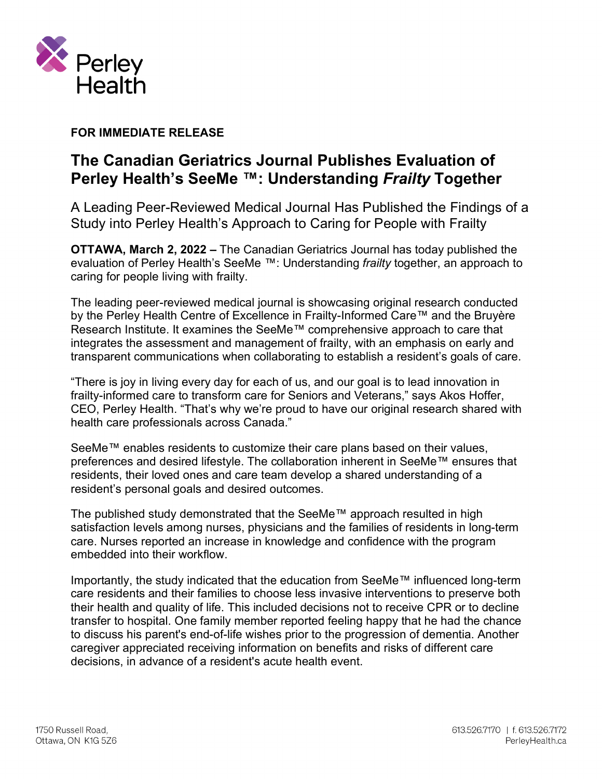

**FOR IMMEDIATE RELEASE** 

## **The Canadian Geriatrics Journal Publishes Evaluation of Perley Health's SeeMe ™: Understanding** *Frailty* **Together**

A Leading Peer-Reviewed Medical Journal Has Published the Findings of a Study into Perley Health's Approach to Caring for People with Frailty

**OTTAWA, March 2, 2022 –** The Canadian Geriatrics Journal has today published the evaluation of Perley Health's SeeMe ™: Understanding *frailty* together, an approach to caring for people living with frailty.

The leading peer-reviewed medical journal is showcasing original research conducted by the Perley Health Centre of Excellence in Frailty-Informed Care™ and the Bruyère Research Institute. It examines the SeeMe™ comprehensive approach to care that integrates the assessment and management of frailty, with an emphasis on early and transparent communications when collaborating to establish a resident's goals of care.

"There is joy in living every day for each of us, and our goal is to lead innovation in frailty-informed care to transform care for Seniors and Veterans," says Akos Hoffer, CEO, Perley Health. "That's why we're proud to have our original research shared with health care professionals across Canada."

SeeMe™ enables residents to customize their care plans based on their values, preferences and desired lifestyle. The collaboration inherent in SeeMe™ ensures that residents, their loved ones and care team develop a shared understanding of a resident's personal goals and desired outcomes.

The published study demonstrated that the SeeMe™ approach resulted in high satisfaction levels among nurses, physicians and the families of residents in long-term care. Nurses reported an increase in knowledge and confidence with the program embedded into their workflow.

Importantly, the study indicated that the education from SeeMe™ influenced long-term care residents and their families to choose less invasive interventions to preserve both their health and quality of life. This included decisions not to receive CPR or to decline transfer to hospital. One family member reported feeling happy that he had the chance to discuss his parent's end-of-life wishes prior to the progression of dementia. Another caregiver appreciated receiving information on benefits and risks of different care decisions, in advance of a resident's acute health event.